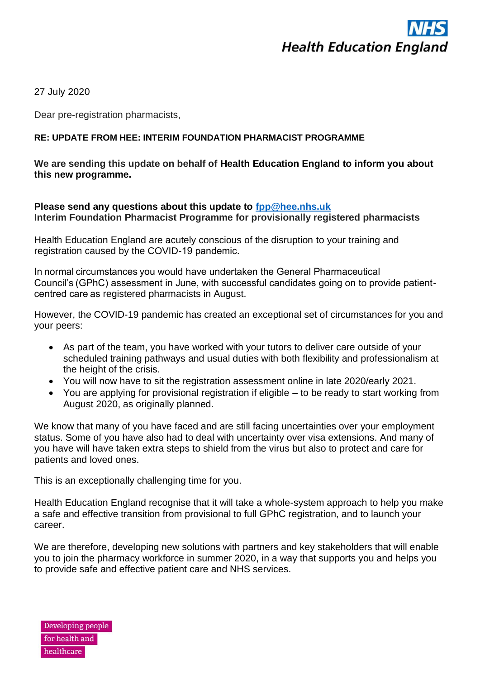

27 July 2020

Dear pre-registration pharmacists,

## **RE: UPDATE FROM HEE: INTERIM FOUNDATION PHARMACIST PROGRAMME**

**We are sending this update on behalf of Health Education England to inform you about this new programme.**

## **Please send any questions about this update to [fpp@hee.nhs.uk](mailto:fpp@hee.nhs.uk) Interim Foundation Pharmacist Programme for provisionally registered pharmacists**

Health Education England are acutely conscious of the disruption to your training and registration caused by the COVID-19 pandemic. 

In normal circumstances you would have undertaken the General Pharmaceutical Council's (GPhC) assessment in June, with successful candidates going on to provide patientcentred care as registered pharmacists in August.

However, the COVID-19 pandemic has created an exceptional set of circumstances for you and your peers:

- As part of the team, you have worked with your tutors to deliver care outside of your scheduled training pathways and usual duties with both flexibility and professionalism at the height of the crisis.
- You will now have to sit the registration assessment online in late 2020/early 2021.
- You are applying for provisional registration if eligible to be ready to start working from August 2020, as originally planned.

We know that many of you have faced and are still facing uncertainties over your employment status. Some of you have also had to deal with uncertainty over visa extensions. And many of you have will have taken extra steps to shield from the virus but also to protect and care for patients and loved ones.

This is an exceptionally challenging time for you.

Health Education England recognise that it will take a whole-system approach to help you make a safe and effective transition from provisional to full GPhC registration, and to launch your career.

We are therefore, developing new solutions with partners and key stakeholders that will enable you to join the pharmacy workforce in summer 2020, in a way that supports you and helps you to provide safe and effective patient care and NHS services.